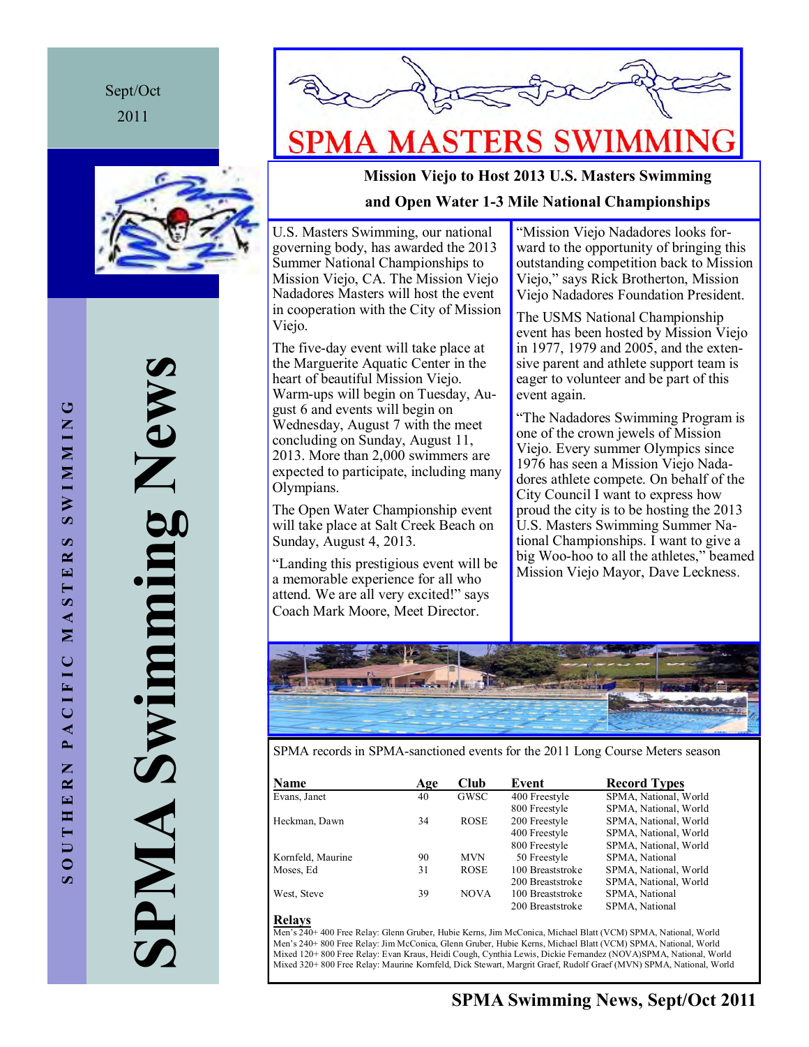Sept/Oct 2011



**SPMA Swimming News**  PMA Swimming New



# SPMA MASTERS SWIMMING

**Mission Viejo to Host 2013 U.S. Masters Swimming** 

## **and Open Water 1-3 Mile National Championships**

U.S. Masters Swimming, our national governing body, has awarded the 2013 Summer National Championships to Mission Viejo, CA. The Mission Viejo Nadadores Masters will host the event in cooperation with the City of Mission Viejo.

The five-day event will take place at the Marguerite Aquatic Center in the heart of beautiful Mission Viejo. Warm-ups will begin on Tuesday, August 6 and events will begin on Wednesday, August 7 with the meet concluding on Sunday, August 11, 2013. More than 2,000 swimmers are expected to participate, including many Olympians.

The Open Water Championship event will take place at Salt Creek Beach on Sunday, August 4, 2013.

"Landing this prestigious event will be a memorable experience for all who attend. We are all very excited!" says Coach Mark Moore, Meet Director.

"Mission Viejo Nadadores looks forward to the opportunity of bringing this outstanding competition back to Mission Viejo," says Rick Brotherton, Mission Viejo Nadadores Foundation President.

The USMS National Championship event has been hosted by Mission Viejo in 1977, 1979 and 2005, and the extensive parent and athlete support team is eager to volunteer and be part of this event again.

"The Nadadores Swimming Program is one of the crown jewels of Mission Viejo. Every summer Olympics since 1976 has seen a Mission Viejo Nadadores athlete compete. On behalf of the City Council I want to express how proud the city is to be hosting the 2013 U.S. Masters Swimming Summer National Championships. I want to give a big Woo-hoo to all the athletes," beamed Mission Viejo Mayor, Dave Leckness.



SPMA records in SPMA-sanctioned events for the 2011 Long Course Meters season

| Name              | Age | Club        | Event            | <b>Record Types</b>   |
|-------------------|-----|-------------|------------------|-----------------------|
| Evans, Janet      | 40  | GWSC        | 400 Freestyle    | SPMA, National, World |
|                   |     |             | 800 Freestyle    | SPMA, National, World |
| Heckman, Dawn     | 34  | <b>ROSE</b> | 200 Freestyle    | SPMA, National, World |
|                   |     |             | 400 Freestyle    | SPMA, National, World |
|                   |     |             | 800 Freestyle    | SPMA, National, World |
| Kornfeld, Maurine | 90  | <b>MVN</b>  | 50 Freestyle     | SPMA, National        |
| Moses, Ed         | 31  | <b>ROSE</b> | 100 Breaststroke | SPMA, National, World |
|                   |     |             | 200 Breaststroke | SPMA, National, World |
| West, Steve       | 39  | <b>NOVA</b> | 100 Breaststroke | SPMA, National        |
|                   |     |             | 200 Breaststroke | SPMA, National        |

### **Relays**

Men's 240+ 400 Free Relay: Glenn Gruber, Hubie Kerns, Jim McConica, Michael Blatt (VCM) SPMA, National, World Men's 240+ 800 Free Relay: Jim McConica, Glenn Gruber, Hubie Kerns, Michael Blatt (VCM) SPMA, National, World Mixed 120+ 800 Free Relay: Evan Kraus, Heidi Cough, Cynthia Lewis, Dickie Fernandez (NOVA)SPMA, National, World Mixed 320+ 800 Free Relay: Maurine Kornfeld, Dick Stewart, Margrit Graef, Rudolf Graef (MVN) SPMA, National, World

ں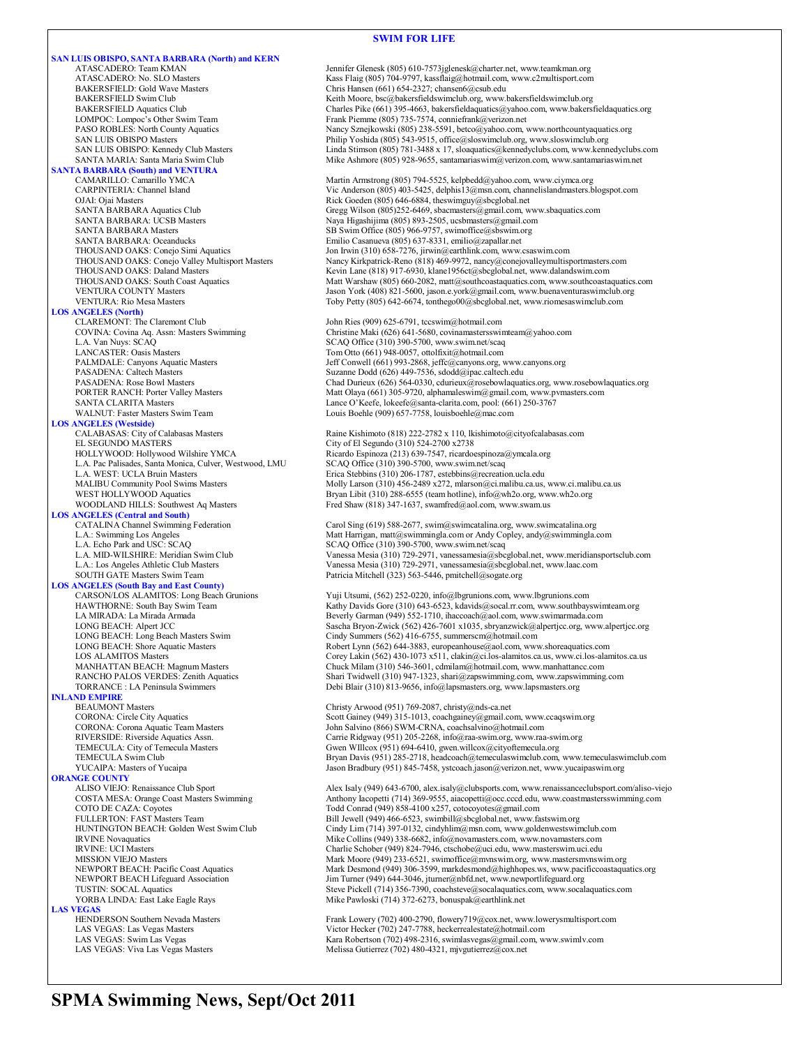#### **SWIM FOR LIFE**

**SAN LUIS OBISPO, SANTA BARBARA (North) and KERN** ATASCADERO: Team KMAN Jennifer Glenesk (805) 610-7573jglenesk@charter.net, www.teamkman.org ATASCADERO: No. SLO Masters Kass Flaig (805) 704-9797, kassflaig@hotmail.com, www.c2multisport.com BAKERSFIELD: Gold Wave Masters Chris Hansen (661) 654-2327; chansen 6@csub.edu<br>BAKERSFIELD Swim Club Chris Hansen Chris Hansen (661) 654-2327; chansen 6@csub.edu BAKERSFIELD Swim Club<br>BAKERSFIELD Aquatics Club Charles Pike (661) 395-4663, bakersfieldaquatics@yahoo.com, www.bakersfieldaquatics.org LOMPOC: Lompoc's Other Swim Team Frank Piemme (805) 735-7574, conniefrank @verizon.net<br>PASO ROBLES: North County Aquatics Namey Sznejkowski (805) 238-5591, betco@yahoo.com, PASO ROBLES: North County Aquatics Nancy Sznejkowski (805) 238-5591, betco@yahoo.com, www.northcountyaquatics.org<br>Philip Yoshida (805) 543-9515, office@sloswinclub.org, www.sloswinclub.org SAN LUIS OBISPO Masters **Philip Yoshida (805) 543-9515**, office@sloswimclub.org, www.sloswimclub.org<br>Philip Yoshida (805) 781-3488 x 17, sloaquatics@kennedyclubs.com, www.kenn **SANTA BARBARA (South) and VENTURA**  OJAI: Ojai Masters The Theorem and The Rick Goeden (805) 646-6884, theswimguy@sbcglobal.net<br>
SANTA BARBARA Aquatics Club<br>
Gregg Wilson (805)252-6469, sbacmasters@gmail.com, w SANTA BARBARA Aquatics Club Gregg Wilson (805)252-6469, sbacmasters@gmail.com, www.sbaquatics.com<br>SANTA BARBARA: UCSB Masters Mass and Maya Higashijima (805) 893-2505, ucsbmasters@gmail.com SANTA BARBARA: UCSB Masters Naya Higashijima (805) 893-2505, ucsbmasters@gmail.com<br>SANTA BARBARA Masters SANTA SES Swim Office (805) 966-9757, swimoffice@sbswim.org SANTA BARBARA Masters SB Swim Office (805) 966-9757, swimoffice@sbswim.org<br>SANTA BARBARA: Oceanducks Emilio Casanueva (805) 637-8331, emilio@zapallar.net SANTA BARBARA: Oceanducks<br>
THOUSAND OAKS: Conejo Simi Aquatics<br>
Ion Irwin (310) 658-7276, jirwin@earthlink.com, www. THOUSAND OAKS: Conejo Simi Aquatics Jon Irwin (310) 658-7276, jirwin@earthlink.com, www.csaswim.com<br>THOUSAND OAKS: Conejo Valley Multisport Masters Nancy Kirkpatrick-Reno (818) 469-9972, nancy@conejovalleymultisp **LOS ANGELES (North)** CLAREMONT: The Claremont Club John Ries (909) 625-6791, tccswim@hotmail.com<br>COVINA: Covina Aq. Assn: Masters Swimming Christine Maki (626) 641-5680, covinamastersswi COVINA: Covina Aq. Assn: Masters Swimming Christine Maki (626) 641-5680, covinamastersswimteam@yahoo.com L.A. Van Nuys: SCAQ Office (310) 390-5700, www.swim.net/scaq<br>
LANCASTER: Oasis Masters
SCAQ Office (310) 390-5700, www.swim.net/scaq LANCASTER: Oasis Masters Tom Otto (661) 948-0057, ottolfixit@hotmail.com<br>
PALMDALE: Canyons Aquatic Masters Tom Masters Jeff Conwell (661) 993-2868, jeffc@canyons.org, PALMDALE: Canyons Aquatic Masters Jeff Conwell (661) 993-2868, jeffc@canyons.org, www.canyons.org<br>PASADENA: Caltech Masters Jeff Conwell (661) 993-2868, jeffc@canyons.org, www.canyons.org PASADENA: Caltech Masters Suzanne Dodd (626) 449-7536, sdodd@ipac.caltech.edu<br>PASADENA: Rose Bowl Masters Chad Durieux (626) 564-0330, cdurieux@rosebowlaqua PORTER RANCH: Porter Valley Masters Matt Olaya (661) 305-9720, alphamaleswim@gmail.com, www.pvmasters.com SANTA CLARITA Masters Lance O'Keefe, lokeefe@santa-clarita.com, pool: (661) 250-3767 WALNUT: Faster Masters Swim Team Louis Boehle (909) 657-7758, louisboehle@mac.com **LOS ANGELES (Westside)** CALABASAS: City of Calabasas Masters Raine Kishimoto (818) 222-2782 x 110, lkishimoto@cityofcalabasas.com<br>EL SEGUNDO MASTERS City of El Segundo (310) 524-2700 x2738 EL SEGUNDO MASTERS<br>
HOLLYWOOD: Hollywood Wilshire YMCA<br>
Ricardo Espinoza (213) 639-7547, ricardo L.A. Pac Palisades, Santa Monica, Culver, Westwood, LMU L.A. WEST: UCLA Bruin Masters L.A. WEST: UCLA Bruin Masters **Existence 2008** Erica Stebbins (310) 206-1787, estebbins @recreation.ucla.edu<br>MALIBU Community Pool Swims Masters **Existence 2008** Molly Larson (310) 456-2489 x272, mlarson@ci.malibu.ca.us, WOODLAND HILLS: Southwest Aq Masters Fred Shaw (818) 347-1637, swamfred@aol.com, www.swam.us **LOS ANGELES (Central and South)**  L.A. Echo Park and USC: SCAQ<br>
L.A. MID-WILSHIRE: Meridian Swim Club<br>
L.A. MID-WILSHIRE: Meridian Swim Club<br>
Vanessa Mesia (310) 729-2971, vanessamesia@sbc L.A.: Los Angeles Athletic Club Masters Vanessa Mesia (310) 729-2971, vanessamesia@sbcglobal.net, www.laac.com<br>SOUTH GATE Masters Swim Team Patricia Mitchell (323) 563-5446, pmitchell@sogate.org **LOS ANGELES (South Bay and East County)**  LONG BEACH: Long Beach Masters Swim Cindy Summers (562) 416-6755, summerscm@hotmail.com<br>
LONG BEACH: Shore Aquatic Masters Companies (562) 644-3883, europeanhouse@aol.com, www MANHATTAN BEACH: Magnum Masters Chuck Milam (310) 546-3601, cdmilam@hotmail.com, www.manhattancc.com<br>RANCHO PALOS VERDES: Zenith Aquatics Shari Twidwell (310) 947-1323, shari@zapswimming.com, www.zapswimming **INLAND EMPIRE**<br>BEAUMONT Masters BEAUMONT Masters Christy Arwood (951) 769-2087, christy@nds-ca.net<br>CORONA: Circle City Aquatics Coronal Scott Gainey (949) 315-1013, coachgainey@gmail.co CORONA: Corona Aquatic Team Masters John Salvino (866) SWM-CRNA, coachsalvino@hotmail.com<br>RIVERSIDE: Riverside Aquatics Assn. Carrie Ridgway (951) 205-2268, info@raa-swim.org, www.raa RIVERSIDE: Riverside Aquatics Assn.<br>
TEMECULA: City of Temecula Masters Currie Ridgway (951) 205-2268, info@raa-swim.org, www.raa-swim.org<br>
Gwen WIllcox (951) 694-6410, gwen.willcox@cityoftemecula.org **ORANGE COUNTY**<br>ALISO VIEJO: Renaissance Club Sport COTO DE CAZA: Coyotes Communication Contract (949) 858-4100 x257, cotocoyotes@gmail.com<br>FULLERTON: FAST Masters Team Bill Jewell (949) 466-6523, swimbill@sbcglobal.net, www.fa IRVINE Novaquatics Mike Collins (949) 338-6682, info@novamasters.com, www.novamasters.com<br>IRVINE: UCI Masters<br>Charlie Schober (949) 824-7946, ctschobe@uci.edu, www.masters.wim.uci.edu IRVINE: UCI Masters<br>
IRVINE: UCI Masters Charlie Schober (949) 824-7946, ctschobe@uci.edu, www.masterswim.uci.edu<br>
Mark Moore (949) 233-6521, swimoffice@mvnswim.org, www.mastersmvnsw NEWPORT BEACH Lifeguard Association Jim Turner (949) 644-3046, jturner@nbfd.net, www.newportlifeguard.org<br>TUSTIN: SOCAL Aquatics **LAS VEGAS**<br> **HENDERSON Southern Nevada Masters** HENDERSON Southern Nevada Masters Frank Lowery (702) 400-2790, flowery 19@cox.net, www.lowerysmultisport.com<br>
LAS VEGAS: Las Vegas Masters Frank Lowery (702) 247-7788, heckerrealestate@hotmail.com LAS VEGAS: Las Vegas Masters Victor Hecker (702) 247-7788, heckerrealestate@hotmail.com<br>
LAS VEGAS: Swim Las Vegas Kara Robertson (702) 2498-2316, swimlasvegas@gmail.com, w

SAN LUIS OBISPO: Kennedy Club Masters Linda Stimson (805) 781-3488 x 17, sloaquatics@kennedyclubs.com, www.kennedyclubs.com<br>SANTA MARIA: Santa Maria Swim Club Mike Ashmore (805) 928-9655, santamariaswim@verizon.com, www.sa Mike Ashmore (805) 928-9655, santamariaswim@verizon.com, www.santamariaswim.net Martin Armstrong (805) 794-5525, kelpbedd@yahoo.com, www.ciymca.org CARPINTERIA: Channel Island Vic Anderson (805) 403-5425, delphis13@msn.com, channelislandmasters.blogspot.com THOUSAND OAKS: Conejo Valley Multisport Masters Nancy Kirkpatrick-Reno (818) 469-9972, nancy@conejovalleymultisportmasters.com<br>THOUSAND OAKS: Daland Masters Kevin Lane (818) 917-6930, klane1956ct@sbcglobal.net, www.dalands THOUSAND OAKS: Daland Masters Kevin Lane (818) 917-6930, klane1956ct@sbcglobal.net, www.dalandswim.com<br>THOUSAND OAKS: South Coast Aquatics Matt Warshaw (805) 660-2082, matt@southcoastaquatics.com, www.southcoasta Matt Warshaw (805) 660-2082, matt@southcoastaquatics.com, www.southcoastaquatics.com VENTURA COUNTY Masters Jason York (408) 821-5600, jason.e.york@gmail.com, www.buenaventuraswimclub.org VENTURA: Rio Mesa Masters Toby Petty (805) 642-6674, tonthego00@sbcglobal.net, www.riomesaswimclub.com Chad Durieux (626) 564-0330, cdurieux@rosebowlaquatics.org, www.rosebowlaquatics.org Ricardo Espinoza (213) 639-7547, ricardoespinoza@ymcala.org<br>SCAQ Office (310) 390-5700, www.swim.net/scaq MALIBU Community Pool Swims Masters Molly Larson (310) 456-2489 x272, mlarson@ci.malibu.ca.us, www.ci.malibu.ca.us<br>WEST HOLLYWOOD Aquatics Molly Larson (310) 288-6555 (team hotline), info@wh2o.org, www.wh2o.org Bryan Libit (310) 288-6555 (team hotline), info@wh2o.org, www.wh2o.org CATALINA Channel Swimming Federation Carol Sing (619) 588-2677, swim@swimcatalina.org, www.swimcatalina.org Carol Sing (619) 588-2677, swim@swimmatalina.org www.swimcatalina.org Matt Harrigan, matt@swimmingla.com or Andy C L.A. MID-WILSHIRE: Meridian Swim Club Vanessa Mesia (310) 729-2971, vanessamesia@sbcglobal.net, www.meridiansportsclub.com<br>L.A.: Los Angeles Athletic Club Masters Vanessamesia (310) 729-2971, vanessamesia@sbcglobal.net, ww Patricia Mitchell (323) 563-5446, pmitchell@sogate.org Yuji Utsumi, (562) 252-0220, info@lbgrunions.com, www.lbgrunions.com HAWTHORNE: South Bay Swim Team Kathy Davids Gore (310) 643-6523, kdavids@socal.rr.com, www.southbayswimteam.org<br>LA MIRADA: La Mirada Armada LA MIRADA: La Mirada Armada <br>LONG BEACH: Alpert JCC Camerada Com Beverly Garman (949) 552-1710, ihaccoach@aol.com, www.swimarmada.com bever<br>LONG BEACH: Alpert JCC Camerada Com Beverly Sascha Bryon-Zwick (562) 426-7601 x103 LONG BEACH: Shore Aquatic Masters Robert Lynn (562) 644-3883, europeanhouse@aol.com, www.shoreaquatics.com<br>
LOS ALAMITOS Masters Corey Lakin (562) 430-1073 x511, clakin@ci.los-alamitos.ca.us, www.ci.los-alam LOS ALAMITOS Masters Corey Lakin (562) 430-1073 x511, clakin@ci.los-alamitos.ca.us, www.ci.los-alamitos.ca.us<br>MANHATTAN BEACH: Magnum Masters Chuck Milam (310) 546-3601, cdmilam@hotmail.com, www.manhattance.com RANCHO PALOS VERDES: Zenith Aquatics Shari Twidwell (310) 947-1323, shari@zapswimming.com, www.zapswimming.com<br>TORRANCE : LA Peninsula Swimmers Debi Blair (310) 813-9656, info@lapsmasters.org, www.lapsmasters.org Debi Blair (310) 813-9656, info@lapsmasters.org, www.lapsmasters.org Scott Gainey (949) 315-1013, coachgainey@gmail.com, www.ccaqswim.org TEMECULA: City of Temecula Masters Gwen WIllcox (951) 694-6410, gwen.willcox@cityoftemecula.org<br>TEMECULA Swim Club Gub Bryan Davis (951) 285-2718, headcoach@temeculaswimclub.com, www.temeculaswimclub.com YUCAIPA: Masters of Yucaipa Jason Bradbury (951) 845-7458, ystcoach.jason@verizon.net, www.yucaipaswim.org ALISO VIEJO: Renaissance Club Sport Alex Isaly (949) 643-6700, alex.isaly@clubsports.com, www.renaissanceclubsport.com/aliso-viejo<br>COSTA MESA: Orange Coast Masters Swimming Anthony Iacopetti (714) 369-9555, aiacopetti@occ. Anthony Iacopetti (714) 369-9555, aiacopetti@occ.cccd.edu, www.coastmastersswimming.com Bill Jewell (949) 466-6523, swimbill@sbcglobal.net, www.fastswim.org HUNTINGTON BEACH: Golden West Swim Club Cindy Lim (714) 397-0132, cindyhlim@msn.com, www.goldenwestswimclub.com MISSION VIEJO Masters Mark Moore (949) 233-6521, swimoffice@mvnswim.org, www.mastersmvnswim.org<br>Mark Desmond (949) 306-3599, markdesmond@highhopes.ws, www.pacificcoastaqua NEWPORT BEACH: Pacific Coast Aquatics Mark Desmond (949) 306-3599, markdesmond@highhopes.ws, www.pacificcoastaquatics.org<br>Mark Desmond (949) 644-3046, jturner@nbfd.net, www.newportlifeguard.org MEARON DEWPORT BEACH Lifegua TUSTIN: SOCAL Aquatics<br>
YORBA LINDA: East Lake Eagle Rays Mike Pawloski (714) 372-6273, bonuspak@earthlink.net Mike Pawloski (714) 372-6273, bonuspak@earthlink.net

LAS VEGAS: Swim Las Vegas 
Kara Robertson (702) 498-2316, swimlasvegas@gmail.com, www.swimly.com<br>
LAS VEGAS: Viva Las Vegas Masters

Melissa Gutierrez (702) 480-4321. nivgutierrez@cox.net Melissa Gutierrez (702) 480-4321, mjvgutierrez@cox.net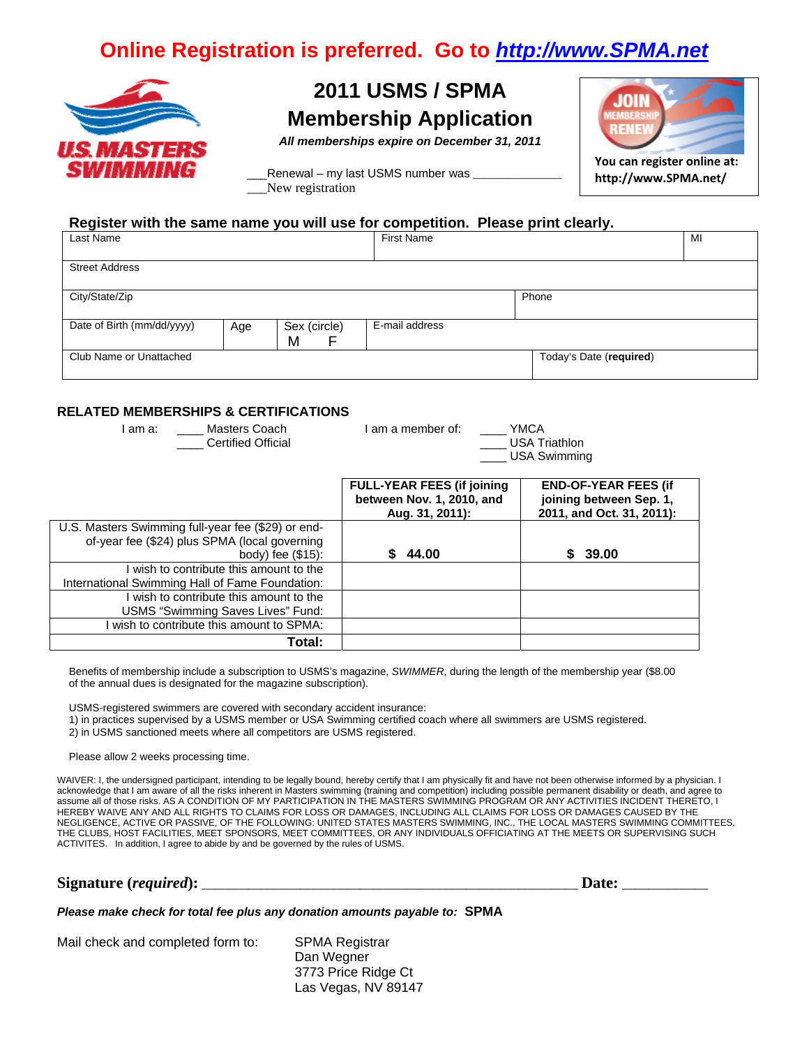# **Online Registration is preferred. Go to** *[http://www.SPMA.net](http://www.spma.net/)*



## **2011 USMS / SPMA Membership Application**

*All memberships expire on December 31, 2011* 

Renewal – my last USMS number was \_ New registration



**You can register online at: http://www.SPMA.net/**

### **Register with the same name you will use for competition. Please print clearly.**

| Last Name                  |     |                        | <b>First Name</b> |                         | MI |
|----------------------------|-----|------------------------|-------------------|-------------------------|----|
| <b>Street Address</b>      |     |                        |                   |                         |    |
| City/State/Zip             |     |                        |                   | Phone                   |    |
| Date of Birth (mm/dd/yyyy) | Age | Sex (circle)<br>M<br>E | E-mail address    |                         |    |
| Club Name or Unattached    |     |                        |                   | Today's Date (required) |    |

### **RELATED MEMBERSHIPS & CERTIFICATIONS**

| Masters Coach<br>am a:<br><b>Certified Official</b> | am a member of:<br><b>YMCA</b><br><b>USA Triathlon</b><br><b>USA Swimming</b>     |                                                                                     |
|-----------------------------------------------------|-----------------------------------------------------------------------------------|-------------------------------------------------------------------------------------|
|                                                     | <b>FULL-YEAR FEES (if joining</b><br>between Nov. 1, 2010, and<br>Aug. 31, 2011): | <b>END-OF-YEAR FEES (if</b><br>joining between Sep. 1,<br>2011, and Oct. 31, 2011): |
| U.S. Masters Swimming full-year fee (\$29) or end-  |                                                                                   |                                                                                     |
| of-year fee (\$24) plus SPMA (local governing       |                                                                                   |                                                                                     |
| body) fee (\$15):                                   | 44.00                                                                             | \$39.00                                                                             |
| wish to contribute this amount to the               |                                                                                   |                                                                                     |
| International Swimming Hall of Fame Foundation:     |                                                                                   |                                                                                     |
| wish to contribute this amount to the               |                                                                                   |                                                                                     |
| USMS "Swimming Saves Lives" Fund:                   |                                                                                   |                                                                                     |
| wish to contribute this amount to SPMA:             |                                                                                   |                                                                                     |
| Total:                                              |                                                                                   |                                                                                     |

Benefits of membership include a subscription to USMS's magazine, *SWIMMER*, during the length of the membership year (\$8.00 of the annual dues is designated for the magazine subscription).

USMS-registered swimmers are covered with secondary accident insurance:

1) in practices supervised by a USMS member or USA Swimming certified coach where all swimmers are USMS registered.

Las Vegas, NV 89147

2) in USMS sanctioned meets where all competitors are USMS registered.

Please allow 2 weeks processing time.

WAIVER: I, the undersigned participant, intending to be legally bound, hereby certify that I am physically fit and have not been otherwise informed by a physician. I acknowledge that I am aware of all the risks inherent in Masters swimming (training and competition) including possible permanent disability or death, and agree to assume all of those risks. AS A CONDITION OF MY PARTICIPATION IN THE MASTERS SWIMMING PROGRAM OR ANY ACTIVITIES INCIDENT THERETO, I HEREBY WAIVE ANY AND ALL RIGHTS TO CLAIMS FOR LOSS OR DAMAGES, INCLUDING ALL CLAIMS FOR LOSS OR DAMAGES CAUSED BY THE NEGLIGENCE, ACTIVE OR PASSIVE, OF THE FOLLOWING: UNITED STATES MASTERS SWIMMING, INC., THE LOCAL MASTERS SWIMMING COMMITTEES, THE CLUBS, HOST FACILITIES, MEET SPONSORS, MEET COMMITTEES, OR ANY INDIVIDUALS OFFICIATING AT THE MEETS OR SUPERVISING SUCH ACTIVITES. In addition, I agree to abide by and be governed by the rules of USMS.

**Signature (***required***):** \_\_\_\_\_\_\_\_\_\_\_\_\_\_\_\_\_\_\_\_\_\_\_\_\_\_\_\_\_\_\_\_\_\_\_\_\_\_\_\_\_\_\_\_\_\_\_\_\_\_\_\_\_\_\_\_\_ **Date:** \_\_\_\_\_\_\_\_\_\_\_\_\_

*Please make check for total fee plus any donation amounts payable to:* **SPMA** 

| Mail check and completed form to: | SPMA Registrar      |
|-----------------------------------|---------------------|
|                                   | Dan Wegner          |
|                                   | 3773 Price Ridge Ct |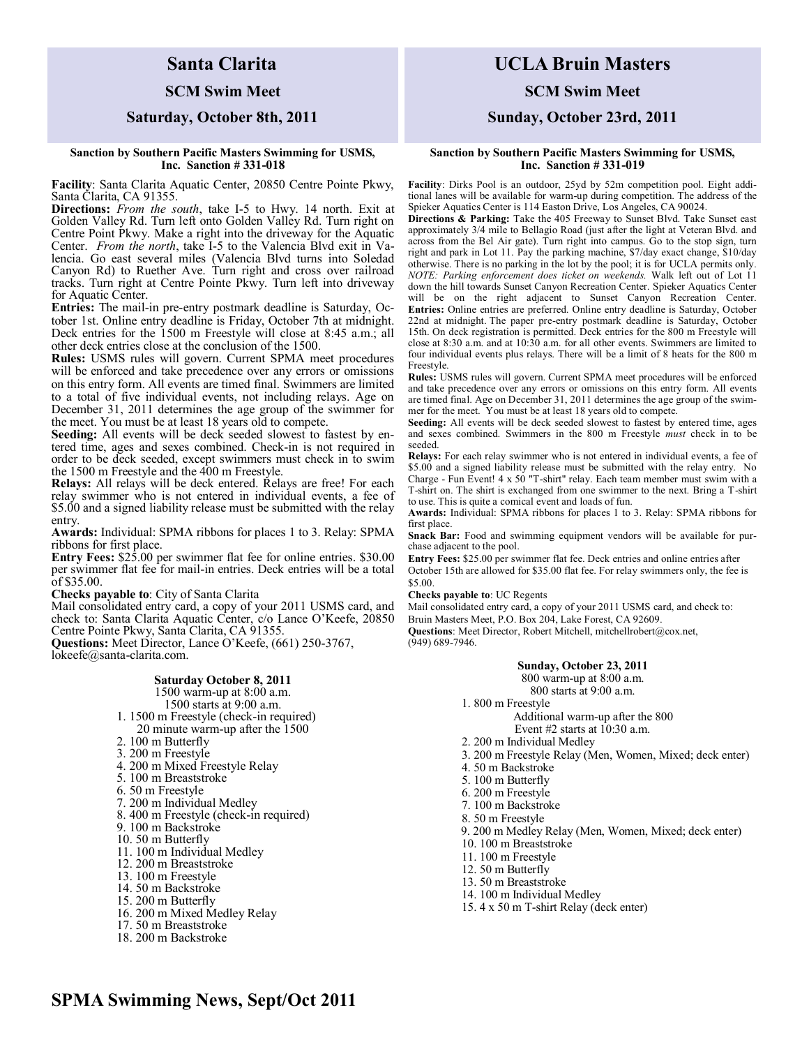## **Santa Clarita**

### **SCM Swim Meet**

### **Saturday, October 8th, 2011**

### **Sanction by Southern Pacific Masters Swimming for USMS, Inc. Sanction # 331-018**

**Facility**: Santa Clarita Aquatic Center, 20850 Centre Pointe Pkwy, Santa Clarita, CA 91355.

**Directions:** *From the south*, take I-5 to Hwy. 14 north. Exit at Golden Valley Rd. Turn left onto Golden Valley Rd. Turn right on Centre Point Pkwy. Make a right into the driveway for the Aquatic Center. *From the north*, take I-5 to the Valencia Blvd exit in Valencia. Go east several miles (Valencia Blvd turns into Soledad Canyon Rd) to Ruether Ave. Turn right and cross over railroad tracks. Turn right at Centre Pointe Pkwy. Turn left into driveway for Aquatic Center.

**Entries:** The mail-in pre-entry postmark deadline is Saturday, October 1st. Online entry deadline is Friday, October 7th at midnight. Deck entries for the 1500 m Freestyle will close at 8:45 a.m.; all other deck entries close at the conclusion of the 1500.

**Rules:** USMS rules will govern. Current SPMA meet procedures will be enforced and take precedence over any errors or omissions on this entry form. All events are timed final. Swimmers are limited to a total of five individual events, not including relays. Age on December 31, 2011 determines the age group of the swimmer for the meet. You must be at least 18 years old to compete.

**Seeding:** All events will be deck seeded slowest to fastest by entered time, ages and sexes combined. Check-in is not required in order to be deck seeded, except swimmers must check in to swim the 1500 m Freestyle and the 400 m Freestyle.

**Relays:** All relays will be deck entered. Relays are free! For each relay swimmer who is not entered in individual events, a fee of \$5.00 and a signed liability release must be submitted with the relay entry.

**Awards:** Individual: SPMA ribbons for places 1 to 3. Relay: SPMA ribbons for first place.

**Entry Fees:** \$25.00 per swimmer flat fee for online entries. \$30.00 per swimmer flat fee for mail-in entries. Deck entries will be a total of \$35.00.

**Checks payable to**: City of Santa Clarita

Mail consolidated entry card, a copy of your 2011 USMS card, and check to: Santa Clarita Aquatic Center, c/o Lance O'Keefe, 20850 Centre Pointe Pkwy, Santa Clarita, CA 91355. **Questions:** Meet Director, Lance O'Keefe, (661) 250-3767,

lokeefe@santa-clarita.com.

### **Saturday October 8, 2011**

1500 warm-up at 8:00 a.m.

1500 starts at 9:00 a.m.

- 1. 1500 m Freestyle (check-in required) 20 minute warm-up after the 1500
- 2. 100 m Butterfly
- 3. 200 m Freestyle
- 4. 200 m Mixed Freestyle Relay
- 5. 100 m Breaststroke
- 6. 50 m Freestyle
- 7. 200 m Individual Medley
- 8. 400 m Freestyle (check-in required)
- 9. 100 m Backstroke
- 10. 50 m Butterfly
- 11. 100 m Individual Medley
- 12. 200 m Breaststroke
- 13. 100 m Freestyle
- 14. 50 m Backstroke
- 15. 200 m Butterfly
- 16. 200 m Mixed Medley Relay
- 17. 50 m Breaststroke
- 18. 200 m Backstroke

## **UCLA Bruin Masters**

### **SCM Swim Meet**

### **Sunday, October 23rd, 2011**

#### **Sanction by Southern Pacific Masters Swimming for USMS, Inc. Sanction # 331-019**

**Facility**: Dirks Pool is an outdoor, 25yd by 52m competition pool. Eight additional lanes will be available for warm-up during competition. The address of the Spieker Aquatics Center is 114 Easton Drive, Los Angeles, CA 90024.

**Directions & Parking:** Take the 405 Freeway to Sunset Blvd. Take Sunset east approximately 3/4 mile to Bellagio Road (just after the light at Veteran Blvd. and across from the Bel Air gate). Turn right into campus. Go to the stop sign, turn right and park in Lot 11. Pay the parking machine, \$7/day exact change, \$10/day otherwise. There is no parking in the lot by the pool; it is for UCLA permits only*. NOTE: Parking enforcement does ticket on weekends.* Walk left out of Lot 11 down the hill towards Sunset Canyon Recreation Center. Spieker Aquatics Center will be on the right adjacent to Sunset Canyon Recreation Center. **Entries:** Online entries are preferred. Online entry deadline is Saturday, October 22nd at midnight. The paper pre-entry postmark deadline is Saturday, October 15th. On deck registration is permitted. Deck entries for the 800 m Freestyle will close at 8:30 a.m. and at 10:30 a.m. for all other events. Swimmers are limited to four individual events plus relays. There will be a limit of 8 heats for the 800 m Freestyle.

**Rules:** USMS rules will govern. Current SPMA meet procedures will be enforced and take precedence over any errors or omissions on this entry form. All events are timed final. Age on December 31, 2011 determines the age group of the swimmer for the meet. You must be at least 18 years old to compete.

**Seeding:** All events will be deck seeded slowest to fastest by entered time, ages and sexes combined. Swimmers in the 800 m Freestyle *must* check in to be seeded.

**Relays:** For each relay swimmer who is not entered in individual events, a fee of \$5.00 and a signed liability release must be submitted with the relay entry. No Charge - Fun Event! 4 x 50 "T-shirt" relay. Each team member must swim with a T-shirt on. The shirt is exchanged from one swimmer to the next. Bring a T-shirt to use. This is quite a comical event and loads of fun.

**Awards:** Individual: SPMA ribbons for places 1 to 3. Relay: SPMA ribbons for first place.

Snack Bar: Food and swimming equipment vendors will be available for purchase adjacent to the pool.

**Entry Fees:** \$25.00 per swimmer flat fee. Deck entries and online entries after October 15th are allowed for \$35.00 flat fee. For relay swimmers only, the fee is \$5.00.

**Checks payable to**: UC Regents

Mail consolidated entry card, a copy of your 2011 USMS card, and check to: Bruin Masters Meet, P.O. Box 204, Lake Forest, CA 92609. **Questions**: Meet Director, Robert Mitchell, mitchellrobert@cox.net,

(949) 689-7946.

### **Sunday, October 23, 2011**

800 warm-up at 8:00 a.m. 800 starts at 9:00 a.m.

- 1. 800 m Freestyle
	- Additional warm-up after the 800 Event  $#2$  starts at  $10:30$  a.m.
- 2. 200 m Individual Medley
- 3. 200 m Freestyle Relay (Men, Women, Mixed; deck enter)
- 4. 50 m Backstroke
- 5. 100 m Butterfly
- 6. 200 m Freestyle
- 7. 100 m Backstroke
- 8. 50 m Freestyle
- 9. 200 m Medley Relay (Men, Women, Mixed; deck enter)
- 10. 100 m Breaststroke
- 11. 100 m Freestyle
- 12. 50 m Butterfly
- 13. 50 m Breaststroke
- 14. 100 m Individual Medley
- 15. 4 x 50 m T-shirt Relay (deck enter)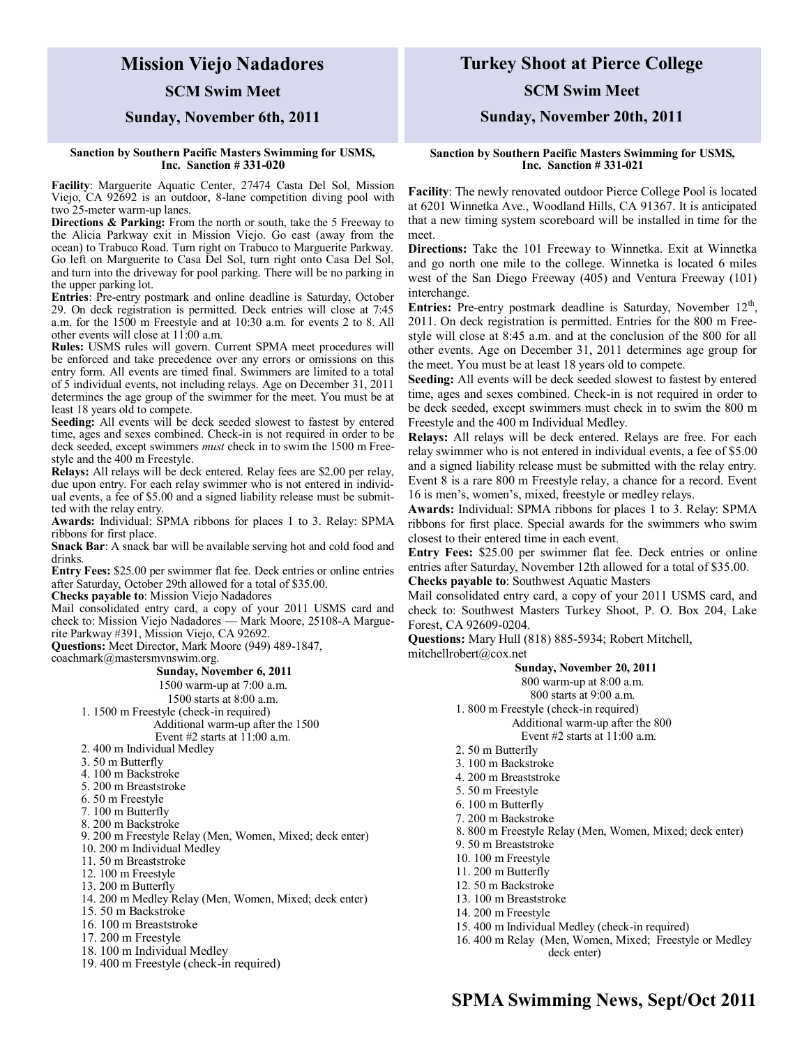## **Mission Viejo Nadadores**

### **SCM Swim Meet**

### **Sunday, November 6th, 2011**

### **Sanction by Southern Pacific Masters Swimming for USMS, Inc. Sanction # 331-020**

**Facility**: Marguerite Aquatic Center, 27474 Casta Del Sol, Mission Viejo, CA 92692 is an outdoor, 8-lane competition diving pool with two 25-meter warm-up lanes.

**Directions & Parking:** From the north or south, take the 5 Freeway to the Alicia Parkway exit in Mission Viejo. Go east (away from the ocean) to Trabuco Road. Turn right on Trabuco to Marguerite Parkway. Go left on Marguerite to Casa Del Sol, turn right onto Casa Del Sol, and turn into the driveway for pool parking. There will be no parking in the upper parking lot.

**Entries**: Pre-entry postmark and online deadline is Saturday, October 29. On deck registration is permitted. Deck entries will close at 7:45 a.m. for the 1500 m Freestyle and at 10:30 a.m. for events 2 to 8. All other events will close at 11:00 a.m.

**Rules:** USMS rules will govern. Current SPMA meet procedures will be enforced and take precedence over any errors or omissions on this entry form. All events are timed final. Swimmers are limited to a total of 5 individual events, not including relays. Age on December 31, 2011 determines the age group of the swimmer for the meet. You must be at least 18 years old to compete.

**Seeding:** All events will be deck seeded slowest to fastest by entered time, ages and sexes combined. Check-in is not required in order to be deck seeded, except swimmers *must* check in to swim the 1500 m Freestyle and the 400 m Freestyle.

**Relays:** All relays will be deck entered. Relay fees are \$2.00 per relay, due upon entry. For each relay swimmer who is not entered in individual events, a fee of \$5.00 and a signed liability release must be submitted with the relay entry.

**Awards:** Individual: SPMA ribbons for places 1 to 3. Relay: SPMA ribbons for first place.

**Snack Bar**: A snack bar will be available serving hot and cold food and drinks.

**Entry Fees:** \$25.00 per swimmer flat fee. Deck entries or online entries after Saturday, October 29th allowed for a total of \$35.00.

**Checks payable to**: Mission Viejo Nadadores

Mail consolidated entry card, a copy of your 2011 USMS card and check to: Mission Viejo Nadadores — Mark Moore, 25108-A Marguerite Parkway #391, Mission Viejo, CA 92692.

**Questions:** Meet Director, Mark Moore (949) 489-1847,

coachmark@mastersmvnswim.org.

**Sunday, November 6, 2011**  1500 warm-up at 7:00 a.m. 1500 starts at 8:00 a.m. 1. 1500 m Freestyle (check-in required) Additional warm-up after the 1500 Event #2 starts at  $11:00$  a.m.

2. 400 m Individual Medley

- 3. 50 m Butterfly
- 4. 100 m Backstroke
- 5. 200 m Breaststroke
- 6. 50 m Freestyle
- 7. 100 m Butterfly
- 8. 200 m Backstroke
- 9. 200 m Freestyle Relay (Men, Women, Mixed; deck enter)
- 10. 200 m Individual Medley
- 11. 50 m Breaststroke
- 12. 100 m Freestyle
- 13. 200 m Butterfly
- 14. 200 m Medley Relay (Men, Women, Mixed; deck enter)
- 15. 50 m Backstroke
- 16. 100 m Breaststroke
- 17. 200 m Freestyle
- 18. 100 m Individual Medley
- 19. 400 m Freestyle (check-in required)

### **Turkey Shoot at Pierce College**

**SCM Swim Meet** 

### **Sunday, November 20th, 2011**

### **Sanction by Southern Pacific Masters Swimming for USMS, Inc. Sanction # 331-021**

**Facility**: The newly renovated outdoor Pierce College Pool is located at 6201 Winnetka Ave., Woodland Hills, CA 91367. It is anticipated that a new timing system scoreboard will be installed in time for the meet.

**Directions:** Take the 101 Freeway to Winnetka. Exit at Winnetka and go north one mile to the college. Winnetka is located 6 miles west of the San Diego Freeway (405) and Ventura Freeway (101) interchange.

Entries: Pre-entry postmark deadline is Saturday, November 12<sup>th</sup>, 2011. On deck registration is permitted. Entries for the 800 m Freestyle will close at 8:45 a.m. and at the conclusion of the 800 for all other events. Age on December 31, 2011 determines age group for the meet. You must be at least 18 years old to compete.

**Seeding:** All events will be deck seeded slowest to fastest by entered time, ages and sexes combined. Check-in is not required in order to be deck seeded, except swimmers must check in to swim the 800 m Freestyle and the 400 m Individual Medley.

**Relays:** All relays will be deck entered. Relays are free. For each relay swimmer who is not entered in individual events, a fee of \$5.00 and a signed liability release must be submitted with the relay entry. Event 8 is a rare 800 m Freestyle relay, a chance for a record. Event 16 is men's, women's, mixed, freestyle or medley relays.

**Awards:** Individual: SPMA ribbons for places 1 to 3. Relay: SPMA ribbons for first place. Special awards for the swimmers who swim closest to their entered time in each event.

**Entry Fees:** \$25.00 per swimmer flat fee. Deck entries or online entries after Saturday, November 12th allowed for a total of \$35.00. **Checks payable to**: Southwest Aquatic Masters

Mail consolidated entry card, a copy of your 2011 USMS card, and check to: Southwest Masters Turkey Shoot, P. O. Box 204, Lake Forest, CA 92609-0204.

**Questions:** Mary Hull (818) 885-5934; Robert Mitchell,

[mitchellrobert@cox.net](mailto:mitchellrobert@cox.net)  **Sunday, November 20, 2011**  800 warm-up at 8:00 a.m. 800 starts at 9:00 a.m. 1. 800 m Freestyle (check-in required) Additional warm-up after the 800 Event #2 starts at 11:00 a.m. 2. 50 m Butterfly 3. 100 m Backstroke 4. 200 m Breaststroke 5. 50 m Freestyle 6. 100 m Butterfly 7. 200 m Backstroke 8. 800 m Freestyle Relay (Men, Women, Mixed; deck enter) 9. 50 m Breaststroke 10. 100 m Freestyle 11. 200 m Butterfly 12. 50 m Backstroke 13. 100 m Breaststroke 14. 200 m Freestyle 15. 400 m Individual Medley (check-in required)

 16. 400 m Relay (Men, Women, Mixed; Freestyle or Medley deck enter)

## **SPMA Swimming News, Sept/Oct 2011**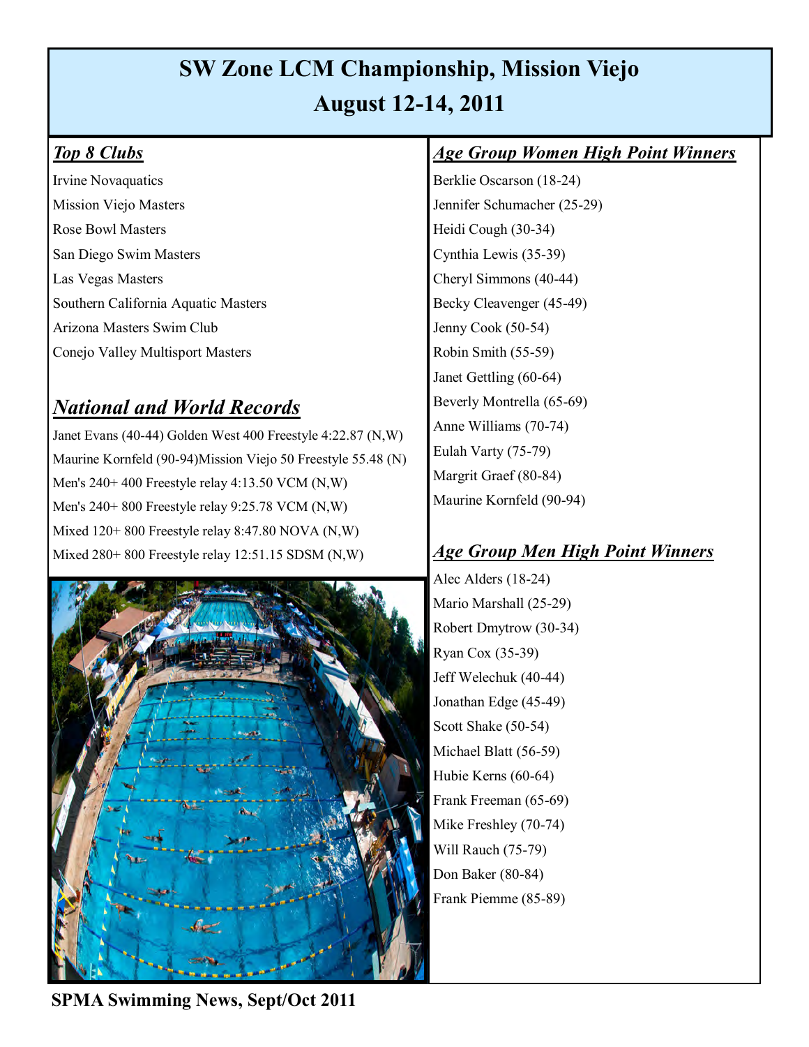# **SW Zone LCM Championship, Mission Viejo August 12-14, 2011**

## *Top 8 Clubs*

Irvine Novaquatics Mission Viejo Masters Rose Bowl Masters San Diego Swim Masters Las Vegas Masters Southern California Aquatic Masters Arizona Masters Swim Club Conejo Valley Multisport Masters

# *National and World Records*

Janet Evans (40-44) Golden West 400 Freestyle 4:22.87 (N,W) Maurine Kornfeld (90-94)Mission Viejo 50 Freestyle 55.48 (N) Men's 240+ 400 Freestyle relay 4:13.50 VCM (N,W) Men's 240+ 800 Freestyle relay 9:25.78 VCM (N,W) Mixed 120+ 800 Freestyle relay 8:47.80 NOVA (N,W) Mixed 280+ 800 Freestyle relay 12:51.15 SDSM (N,W)



## *Age Group Women High Point Winners*

Berklie Oscarson (18-24) Jennifer Schumacher (25-29) Heidi Cough (30-34) Cynthia Lewis (35-39) Cheryl Simmons (40-44) Becky Cleavenger (45-49) Jenny Cook (50-54) Robin Smith (55-59) Janet Gettling (60-64) Beverly Montrella (65-69) Anne Williams (70-74) Eulah Varty (75-79) Margrit Graef (80-84) Maurine Kornfeld (90-94)

## *Age Group Men High Point Winners*

Alec Alders (18-24) Mario Marshall (25-29) Robert Dmytrow (30-34) Ryan Cox (35-39) Jeff Welechuk (40-44) Jonathan Edge (45-49) Scott Shake (50-54) Michael Blatt (56-59) Hubie Kerns (60-64) Frank Freeman (65-69) Mike Freshley (70-74) Will Rauch (75-79) Don Baker (80-84) Frank Piemme (85-89)

**SPMA Swimming News, Sept/Oct 2011**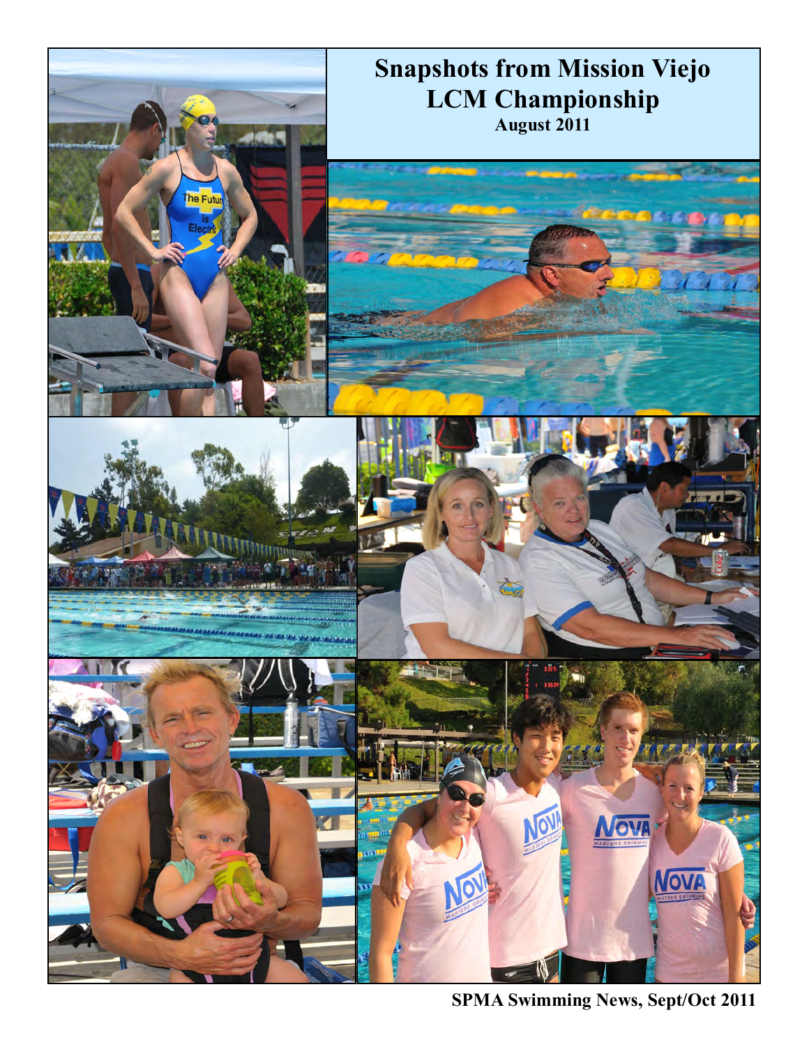

**SPMA Swimming News, Sept/Oct 2011**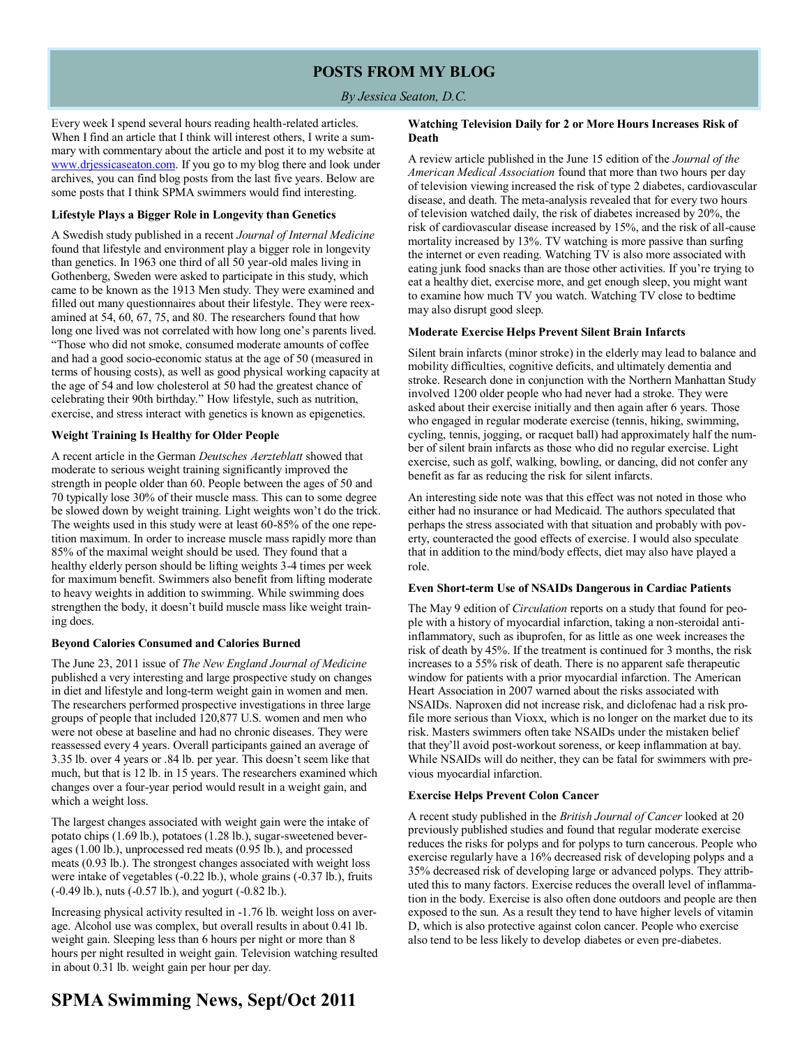### **POSTS FROM MY BLOG**

*By Jessica Seaton, D.C.* 

Every week I spend several hours reading health-related articles. When I find an article that I think will interest others, I write a summary with commentary about the article and post it to my website at [www.drjessicaseaton.com.](http://www.drjessicaseaton.com) If you go to my blog there and look under archives, you can find blog posts from the last five years. Below are some posts that I think SPMA swimmers would find interesting.

### **Lifestyle Plays a Bigger Role in Longevity than Genetics**

A Swedish study published in a recent *Journal of Internal Medicine* found that lifestyle and environment play a bigger role in longevity than genetics. In 1963 one third of all 50 year-old males living in Gothenberg, Sweden were asked to participate in this study, which came to be known as the 1913 Men study. They were examined and filled out many questionnaires about their lifestyle. They were reexamined at 54, 60, 67, 75, and 80. The researchers found that how long one lived was not correlated with how long one's parents lived. "Those who did not smoke, consumed moderate amounts of coffee and had a good socio-economic status at the age of 50 (measured in terms of housing costs), as well as good physical working capacity at the age of 54 and low cholesterol at 50 had the greatest chance of celebrating their 90th birthday." How lifestyle, such as nutrition, exercise, and stress interact with genetics is known as epigenetics.

### **Weight Training Is Healthy for Older People**

A recent article in the German *Deutsches Aerzteblatt* showed that moderate to serious weight training significantly improved the strength in people older than 60. People between the ages of 50 and 70 typically lose 30% of their muscle mass. This can to some degree be slowed down by weight training. Light weights won't do the trick. The weights used in this study were at least 60-85% of the one repetition maximum. In order to increase muscle mass rapidly more than 85% of the maximal weight should be used. They found that a healthy elderly person should be lifting weights 3-4 times per week for maximum benefit. Swimmers also benefit from lifting moderate to heavy weights in addition to swimming. While swimming does strengthen the body, it doesn't build muscle mass like weight training does.

### **Beyond Calories Consumed and Calories Burned**

The June 23, 2011 issue of *The New England Journal of Medicine* published a very interesting and large prospective study on changes in diet and lifestyle and long-term weight gain in women and men. The researchers performed prospective investigations in three large groups of people that included 120,877 U.S. women and men who were not obese at baseline and had no chronic diseases. They were reassessed every 4 years. Overall participants gained an average of 3.35 lb. over 4 years or .84 lb. per year. This doesn't seem like that much, but that is 12 lb. in 15 years. The researchers examined which changes over a four-year period would result in a weight gain, and which a weight loss.

The largest changes associated with weight gain were the intake of potato chips (1.69 lb.), potatoes (1.28 lb.), sugar-sweetened beverages (1.00 lb.), unprocessed red meats (0.95 lb.), and processed meats (0.93 lb.). The strongest changes associated with weight loss were intake of vegetables (-0.22 lb.), whole grains (-0.37 lb.), fruits (-0.49 lb.), nuts (-0.57 lb.), and yogurt (-0.82 lb.).

Increasing physical activity resulted in -1.76 lb. weight loss on average. Alcohol use was complex, but overall results in about 0.41 lb. weight gain. Sleeping less than 6 hours per night or more than 8 hours per night resulted in weight gain. Television watching resulted in about 0.31 lb. weight gain per hour per day.

### **Watching Television Daily for 2 or More Hours Increases Risk of Death**

A review article published in the June 15 edition of the *Journal of the American Medical Association* found that more than two hours per day of television viewing increased the risk of type 2 diabetes, cardiovascular disease, and death. The meta-analysis revealed that for every two hours of television watched daily, the risk of diabetes increased by 20%, the risk of cardiovascular disease increased by 15%, and the risk of all-cause mortality increased by 13%. TV watching is more passive than surfing the internet or even reading. Watching TV is also more associated with eating junk food snacks than are those other activities. If you're trying to eat a healthy diet, exercise more, and get enough sleep, you might want to examine how much TV you watch. Watching TV close to bedtime may also disrupt good sleep.

### **Moderate Exercise Helps Prevent Silent Brain Infarcts**

Silent brain infarcts (minor stroke) in the elderly may lead to balance and mobility difficulties, cognitive deficits, and ultimately dementia and stroke. Research done in conjunction with the Northern Manhattan Study involved 1200 older people who had never had a stroke. They were asked about their exercise initially and then again after 6 years. Those who engaged in regular moderate exercise (tennis, hiking, swimming, cycling, tennis, jogging, or racquet ball) had approximately half the number of silent brain infarcts as those who did no regular exercise. Light exercise, such as golf, walking, bowling, or dancing, did not confer any benefit as far as reducing the risk for silent infarcts.

An interesting side note was that this effect was not noted in those who either had no insurance or had Medicaid. The authors speculated that perhaps the stress associated with that situation and probably with poverty, counteracted the good effects of exercise. I would also speculate that in addition to the mind/body effects, diet may also have played a role.

### **Even Short-term Use of NSAIDs Dangerous in Cardiac Patients**

The May 9 edition of *Circulation* reports on a study that found for people with a history of myocardial infarction, taking a non-steroidal antiinflammatory, such as ibuprofen, for as little as one week increases the risk of death by 45%. If the treatment is continued for 3 months, the risk increases to a 55% risk of death. There is no apparent safe therapeutic window for patients with a prior myocardial infarction. The American Heart Association in 2007 warned about the risks associated with NSAIDs. Naproxen did not increase risk, and diclofenac had a risk profile more serious than Vioxx, which is no longer on the market due to its risk. Masters swimmers often take NSAIDs under the mistaken belief that they'll avoid post-workout soreness, or keep inflammation at bay. While NSAIDs will do neither, they can be fatal for swimmers with previous myocardial infarction.

### **Exercise Helps Prevent Colon Cancer**

A recent study published in the *British Journal of Cancer* looked at 20 previously published studies and found that regular moderate exercise reduces the risks for polyps and for polyps to turn cancerous. People who exercise regularly have a 16% decreased risk of developing polyps and a 35% decreased risk of developing large or advanced polyps. They attributed this to many factors. Exercise reduces the overall level of inflammation in the body. Exercise is also often done outdoors and people are then exposed to the sun. As a result they tend to have higher levels of vitamin D, which is also protective against colon cancer. People who exercise also tend to be less likely to develop diabetes or even pre-diabetes.

## **SPMA Swimming News, Sept/Oct 2011**